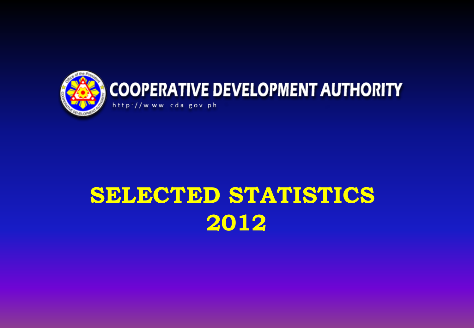

# **SELECTED STATISTICS 2012**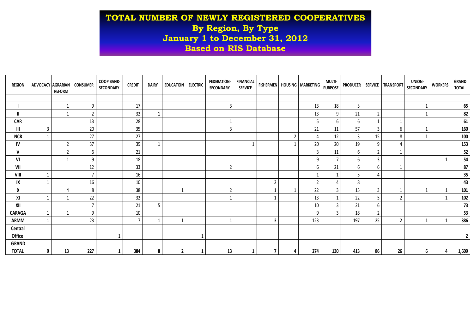# **TOTAL NUMBER OF NEWLY REGISTERED COOPERATIVES By Region, By Type January 1 to December 31, 2012 Based on RIS Database**

| <b>REGION</b> | <b>ADVOCACY AGRARIAN</b> | <b>REFORM</b> | <b>CONSUMER</b>          | <b>COOP BANK-</b><br><b>SECONDARY</b> | <b>CREDIT</b>    | <b>DAIRY</b> | <b>EDUCATION</b> | <b>ELECTRIC</b> | <b>FEDERATION-</b><br><b>SECONDARY</b> | <b>FINANCIAL</b><br><b>SERVICE</b> | <b>FISHERMEN</b> |                | <b>HOUSING   MARKETING  </b> | <b>MULTI-</b><br><b>PURPOSE</b> | <b>PRODUCER</b> |                | SERVICE TRANSPORT | UNION-<br>SECONDARY | <b>WORKERS</b> | GRAND<br><b>TOTAL</b> |
|---------------|--------------------------|---------------|--------------------------|---------------------------------------|------------------|--------------|------------------|-----------------|----------------------------------------|------------------------------------|------------------|----------------|------------------------------|---------------------------------|-----------------|----------------|-------------------|---------------------|----------------|-----------------------|
|               |                          |               |                          |                                       |                  |              |                  |                 |                                        |                                    |                  |                |                              |                                 |                 |                |                   |                     |                |                       |
|               |                          |               | 9                        |                                       | 17               |              |                  |                 | $\overline{3}$                         |                                    |                  |                | 13                           | 18                              | 3               |                |                   |                     |                | 65                    |
| Ш             |                          |               | $\overline{2}$           |                                       | 32               |              |                  |                 |                                        |                                    |                  |                | 13                           | 9                               | 21              | $\overline{2}$ |                   |                     |                | 82                    |
| <b>CAR</b>    |                          |               | 13                       |                                       | 28               |              |                  |                 |                                        |                                    |                  |                | 5                            | 6                               | 6               |                |                   |                     |                | 61                    |
| III           | $\overline{3}$           |               | 20                       |                                       | $35\phantom{.0}$ |              |                  |                 | 3                                      |                                    |                  |                | 21                           | 11                              | 57              | 3              | 6                 |                     |                | 160                   |
| <b>NCR</b>    |                          |               | 27                       |                                       | 27               |              |                  |                 |                                        |                                    |                  | $\overline{2}$ | $\Delta$                     | 12                              | 3               | 15             | 8                 |                     |                | 100                   |
| IV            |                          |               | 37                       |                                       | 39               | $\mathbf 1$  |                  |                 |                                        |                                    |                  | $\mathbf{1}$   | 20                           | 20                              | 19              | 9              |                   |                     |                | 153                   |
| $\mathsf{v}$  |                          | $\mathcal{I}$ | 6                        |                                       | 21               |              |                  |                 |                                        |                                    |                  |                | $\overline{3}$               | 11                              | 6               | $\overline{2}$ |                   |                     |                | $52\,$                |
| VI            |                          |               | 9                        |                                       | 18               |              |                  |                 |                                        |                                    |                  |                | 9                            |                                 | 6               | 3              |                   |                     |                | 54                    |
| VII           |                          |               | 12                       |                                       | 33               |              |                  |                 | $\overline{2}$                         |                                    |                  |                | 6                            | 21                              | 6               | 6              |                   |                     |                | 87                    |
| VIII          |                          |               | ⇁                        |                                       | 16               |              |                  |                 |                                        |                                    |                  |                |                              |                                 | 5               |                |                   |                     |                | $35\phantom{a}$       |
| IX            |                          |               | 16                       |                                       | 10               |              |                  |                 |                                        |                                    | $\overline{2}$   |                | $\overline{2}$               |                                 | 8               |                |                   |                     |                | 43                    |
| X             |                          |               | 8                        |                                       | 38               |              |                  |                 |                                        |                                    |                  | $\mathbf{1}$   | 22                           | $\overline{3}$                  | 15              | $\overline{3}$ |                   |                     |                | 101                   |
| XI            |                          |               | 22                       |                                       | 32               |              |                  |                 |                                        |                                    |                  |                | 13                           |                                 | 22              | 5              | $\mathcal{P}$     |                     |                | 102                   |
| XII           |                          |               | $\overline{\phantom{a}}$ |                                       | 21               | 5            |                  |                 |                                        |                                    |                  |                | 10                           | $\mathbf{3}$                    | 21              | 6              |                   |                     |                | 73                    |
| <b>CARAGA</b> |                          |               | q                        |                                       | 10               |              |                  |                 |                                        |                                    |                  |                | q                            | $\overline{3}$                  | 18              | $\overline{2}$ |                   |                     |                | 53                    |
| <b>ARMM</b>   |                          |               | 23                       |                                       | $\overline{7}$   |              |                  |                 |                                        |                                    | 3                |                | 123                          |                                 | 197             | 25             | $\mathcal{P}$     |                     |                | 386                   |
| Central       |                          |               |                          |                                       |                  |              |                  |                 |                                        |                                    |                  |                |                              |                                 |                 |                |                   |                     |                |                       |
| Office        |                          |               |                          |                                       |                  |              |                  |                 |                                        |                                    |                  |                |                              |                                 |                 |                |                   |                     |                | $2^{\circ}$           |
| <b>GRAND</b>  |                          |               |                          |                                       |                  |              |                  |                 |                                        |                                    |                  |                |                              |                                 |                 |                |                   |                     |                |                       |
| <b>TOTAL</b>  | 9                        | 13            | 227                      |                                       | 384              | 8            | $\mathbf{2}$     |                 | 13                                     |                                    |                  | 4              | 274                          | 130                             | 413             | 86             | 26                | 6                   | 4              | 1,609                 |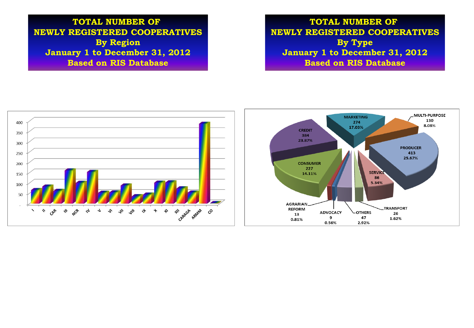**TOTAL NUMBER OF NEWLY REGISTERED COOPERATIVES By Region January 1 to December 31, 2012 Based on RIS Database**

**TOTAL NUMBER OF NEWLY REGISTERED COOPERATIVES By Type January 1 to December 31, 2012 Based on RIS Database**

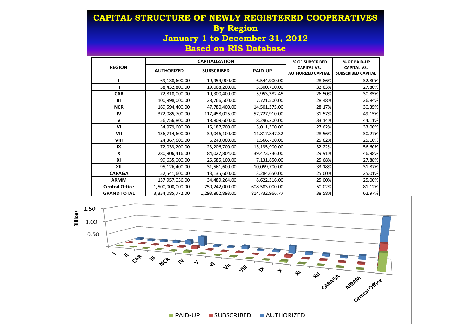### **CAPITAL STRUCTURE OF NEWLY REGISTERED COOPERATIVES By Region January 1 to December 31, 2012 Based on RIS Database**

|                       |                   | <b>CAPITALIZATION</b> | % OF SUBSCRIBED | % OF PAID-UP                                    |                                                 |
|-----------------------|-------------------|-----------------------|-----------------|-------------------------------------------------|-------------------------------------------------|
| <b>REGION</b>         | <b>AUTHORIZED</b> | <b>SUBSCRIBED</b>     | <b>PAID-UP</b>  | <b>CAPITAL VS.</b><br><b>AUTHORIZED CAPITAL</b> | <b>CAPITAL VS.</b><br><b>SUBSCRIBED CAPITAL</b> |
|                       | 69,138,600.00     | 19,954,900.00         | 6,544,900.00    | 28.86%                                          | 32.80%                                          |
| п                     | 58,432,800.00     | 19,068,200.00         | 5,300,700.00    | 32.63%                                          | 27.80%                                          |
| <b>CAR</b>            | 72,818,000.00     | 19,300,400.00         | 5,953,382.45    | 26.50%                                          | 30.85%                                          |
| Ш                     | 100,998,000.00    | 28,766,500.00         | 7,721,500.00    | 28.48%                                          | 26.84%                                          |
| <b>NCR</b>            | 169,594,400.00    | 47,780,400.00         | 14,501,375.00   | 28.17%                                          | 30.35%                                          |
| IV                    | 372,085,700.00    | 117,458,025.00        | 57,727,910.00   | 31.57%                                          | 49.15%                                          |
| $\mathbf v$           | 56,756,800.00     | 18,809,600.00         | 8,296,200.00    | 33.14%                                          | 44.11%                                          |
| VI                    | 54,979,600.00     | 15,187,700.00         | 5,011,300.00    | 27.62%                                          | 33.00%                                          |
| VII                   | 136,714,600.00    | 39,046,100.00         | 11,817,847.32   | 28.56%                                          | 30.27%                                          |
| VIII                  | 24,367,600.00     | 6,243,000.00          | 1,566,700.00    | 25.62%                                          | 25.10%                                          |
| IX                    | 72,033,200.00     | 23,206,700.00         | 13,135,900.00   | 32.22%                                          | 56.60%                                          |
| x                     | 280,906,416.00    | 84,027,804.00         | 39,473,736.00   | 29.91%                                          | 46.98%                                          |
| XI                    | 99,635,000.00     | 25,585,100.00         | 7,131,850.00    | 25.68%                                          | 27.88%                                          |
| XII                   | 95,126,400.00     | 31,561,600.00         | 10,059,700.00   | 33.18%                                          | 31.87%                                          |
| <b>CARAGA</b>         | 52,541,600.00     | 13,135,600.00         | 3,284,650.00    | 25.00%                                          | 25.01%                                          |
| <b>ARMM</b>           | 137,957,056.00    | 34,489,264.00         | 8,622,316.00    | 25.00%                                          | 25.00%                                          |
| <b>Central Office</b> | 1,500,000,000.00  | 750,242,000.00        | 608,583,000.00  | 50.02%                                          | 81.12%                                          |
| <b>GRAND TOTAL</b>    | 3,354,085,772.00  | 1,293,862,893.00      | 814,732,966.77  | 38.58%                                          | 62.97%                                          |

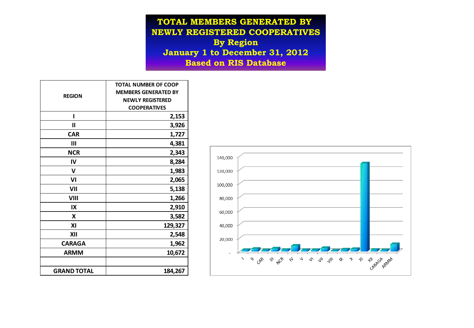**TOTAL MEMBERS GENERATED BY NEWLY REGISTERED COOPERATIVES By Region January 1 to December 31, 2012 Based on RIS Database**

|                    | <b>TOTAL NUMBER OF COOP</b><br><b>MEMBERS GENERATED BY</b> |  |  |  |  |
|--------------------|------------------------------------------------------------|--|--|--|--|
| <b>REGION</b>      | <b>NEWLY REGISTERED</b>                                    |  |  |  |  |
|                    | <b>COOPERATIVES</b>                                        |  |  |  |  |
| ı                  | 2,153                                                      |  |  |  |  |
| Ш                  | 3,926                                                      |  |  |  |  |
| <b>CAR</b>         | 1,727                                                      |  |  |  |  |
| Ш                  | 4,381                                                      |  |  |  |  |
| <b>NCR</b>         | 2,343                                                      |  |  |  |  |
| IV                 | 8,284                                                      |  |  |  |  |
| v                  | 1,983                                                      |  |  |  |  |
| VI                 | 2,065                                                      |  |  |  |  |
| VII                | 5,138                                                      |  |  |  |  |
| VIII               | 1,266                                                      |  |  |  |  |
| IX                 | 2,910                                                      |  |  |  |  |
| X                  | 3,582                                                      |  |  |  |  |
| ΧI                 | 129,327                                                    |  |  |  |  |
| XII                | 2,548                                                      |  |  |  |  |
| <b>CARAGA</b>      | 1,962                                                      |  |  |  |  |
| <b>ARMM</b>        | 10,672                                                     |  |  |  |  |
|                    |                                                            |  |  |  |  |
| <b>GRAND TOTAL</b> | 184,267                                                    |  |  |  |  |

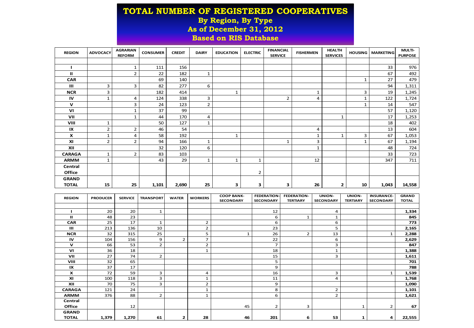#### **TOTAL NUMBER OF REGISTERED COOPERATIVES By Region, By Type As of December 31, 2012 Based on RIS Database**

| <b>REGION</b>  | <b>ADVOCACY</b> | <b>AGRARIAN</b><br><b>REFORM</b> | <b>CONSUMER</b> | <b>CREDIT</b> | <b>DAIRY</b>   | <b>EDUCATION</b> | <b>ELECTRIC</b> | <b>FINANCIAL</b><br><b>SERVICE</b> | <b>FISHERMEN</b> | <b>HEALTH</b><br><b>SERVICES</b> | <b>HOUSING</b> | <b>MARKETING</b> | <b>MULTI-</b><br><b>PURPOSE</b> |
|----------------|-----------------|----------------------------------|-----------------|---------------|----------------|------------------|-----------------|------------------------------------|------------------|----------------------------------|----------------|------------------|---------------------------------|
|                |                 |                                  |                 |               |                |                  |                 |                                    |                  |                                  |                |                  |                                 |
|                |                 | $\mathbf 1$                      | 111             | 156           |                |                  |                 |                                    |                  |                                  |                | 33               | 976                             |
| п              |                 | $\overline{2}$                   | 22              | 182           | $\mathbf{1}$   |                  |                 |                                    |                  |                                  |                | 67               | 492                             |
| <b>CAR</b>     |                 |                                  | 69              | 140           |                |                  |                 |                                    |                  |                                  | 1              | 27               | 479                             |
| $\mathbf{III}$ | 3               | 3                                | 82              | 277           | 6              |                  |                 |                                    |                  |                                  |                | 94               | 1,311                           |
| <b>NCR</b>     | 3               |                                  | 182             | 414           |                | $\mathbf{1}$     |                 |                                    | $\mathbf{1}$     |                                  | 3              | 19               | 1,245                           |
| IV             | 1               | 4                                | 124             | 338           | 3              |                  |                 | $\overline{2}$                     | 4                |                                  | $\mathbf{1}$   | 122              | 1,724                           |
| v              |                 | 3                                | 24              | 123           | $\overline{2}$ |                  |                 |                                    |                  |                                  | 1              | 14               | 547                             |
| VI             |                 | $\mathbf{1}$                     | 37              | 99            |                |                  |                 |                                    |                  |                                  |                | 57               | 1,120                           |
| VII            |                 | 1                                | 44              | 170           | 4              |                  |                 |                                    |                  | 1                                |                | 17               | 1,253                           |
| VIII           | 1               |                                  | 50              | 127           | 1              |                  |                 |                                    |                  |                                  |                | 18               | 402                             |
| IX             | $\overline{2}$  | 2                                | 46              | 54            |                |                  |                 |                                    | 4                |                                  |                | 13               | 604                             |
| X              | 1               | 4                                | 58              | 192           |                | $\mathbf{1}$     |                 |                                    | $\mathbf{1}$     | 1                                | 3              | 67               | 1,053                           |
| XI             | $\overline{2}$  | $\overline{2}$                   | 94              | 166           | $\mathbf 1$    |                  |                 | $\mathbf{1}$                       | 3                |                                  | $\mathbf{1}$   | 67               | 1,194                           |
| XII            |                 |                                  | 32              | 120           | 6              |                  |                 |                                    | 1                |                                  |                | 48               | 724                             |
| <b>CARAGA</b>  | 1               | $\overline{2}$                   | 83              | 103           |                |                  |                 |                                    |                  |                                  |                | 33               | 723                             |
| <b>ARMM</b>    | 1               |                                  | 43              | 29            | 1              | $\mathbf{1}$     | $\mathbf{1}$    |                                    | 12               |                                  |                | 347              | 711                             |
| Central        |                 |                                  |                 |               |                |                  |                 |                                    |                  |                                  |                |                  |                                 |
| Office         |                 |                                  |                 |               |                |                  | 2               |                                    |                  |                                  |                |                  |                                 |
| <b>GRAND</b>   |                 |                                  |                 |               |                |                  |                 |                                    |                  |                                  |                |                  |                                 |
| <b>TOTAL</b>   | 15              | 25                               | 1,101           | 2,690         | 25             | 3                | з               | 3                                  | 26               | 2                                | 10             | 1,043            | 14,558                          |

| <b>REGION</b>             | <b>PRODUCER</b> | <b>SERVICE</b> | <b>TRANSPORT</b> | <b>WATER</b>   | <b>WORKERS</b> | <b>COOP BANK-</b><br><b>SECONDARY</b> | <b>FEDERATION-</b><br><b>SECONDARY</b> | <b>FEDERATION-</b><br><b>TERTIARY</b> | UNION-<br><b>SECONDARY</b> | UNION-<br><b>TERTIARY</b> | <b>INSURANCE-</b><br><b>SECONDARY</b> | <b>GRAND</b><br><b>TOTAL</b> |
|---------------------------|-----------------|----------------|------------------|----------------|----------------|---------------------------------------|----------------------------------------|---------------------------------------|----------------------------|---------------------------|---------------------------------------|------------------------------|
|                           |                 |                |                  |                |                |                                       |                                        |                                       |                            |                           |                                       |                              |
|                           | 20              | 20             | $\mathbf{1}$     |                |                |                                       | 12                                     |                                       | 4                          |                           |                                       | 1,334                        |
| $\mathbf{u}$              | 48              | 23             |                  |                |                |                                       | 6                                      |                                       | 1                          |                           |                                       | 845                          |
| <b>CAR</b>                | 25              | 17             | $\mathbf{1}$     |                | $\overline{2}$ |                                       | 6                                      |                                       | 6                          |                           |                                       | 773                          |
| $\mathbf{m}$              | 213             | 136            | 10               |                | $\overline{2}$ |                                       | 23                                     |                                       | 5                          |                           |                                       | 2,165                        |
| <b>NCR</b>                | 32              | 315            | 25               |                | 5              | $\mathbf{1}$                          | 26                                     | 2                                     | 13                         |                           | 1                                     | 2,288                        |
| IV                        | 104             | 156            | 9                | $\overline{2}$ | $\overline{7}$ |                                       | 22                                     |                                       | 6                          |                           |                                       | 2,629                        |
| $\mathbf v$               | 66              | 53             | $\overline{2}$   |                | $\overline{2}$ |                                       | $\overline{7}$                         |                                       | 3                          |                           |                                       | 847                          |
| V <sub>1</sub>            | 36              | 18             |                  |                |                |                                       | 18                                     |                                       | 1                          |                           |                                       | 1,388                        |
| VII                       | 27              | 74             | $\overline{2}$   |                |                |                                       | 15                                     |                                       | 3                          |                           |                                       | 1,611                        |
| VIII                      | 32              | 65             |                  |                |                |                                       | 5                                      |                                       |                            |                           |                                       | 701                          |
| IX                        | 37              | 17             |                  |                |                |                                       | 9                                      |                                       |                            |                           |                                       | 788                          |
| $\boldsymbol{\mathsf{x}}$ | 72              | 59             | 3                |                | 4              |                                       | 16                                     |                                       | 3                          |                           | $\mathbf{1}$                          | 1,539                        |
| XI                        | 100             | 118            | 3                |                | 1              |                                       | 11                                     |                                       | 4                          |                           |                                       | 1,768                        |
| XII                       | 70              | 75             | 3                |                | $\overline{2}$ |                                       | 9                                      |                                       |                            |                           |                                       | 1,090                        |
| <b>CARAGA</b>             | 121             | 24             |                  |                |                |                                       | 8                                      |                                       | $\overline{2}$             |                           |                                       | 1,101                        |
| <b>ARMM</b>               | 376             | 88             | $\overline{2}$   |                | $\mathbf{1}$   |                                       | 6                                      |                                       | $\overline{2}$             |                           |                                       | 1,621                        |
| Central                   |                 |                |                  |                |                |                                       |                                        |                                       |                            |                           |                                       |                              |
| Office                    |                 | 12             |                  |                |                | 45                                    | 2                                      | 3                                     |                            | 1                         | $\overline{2}$                        | 67                           |
| <b>GRAND</b>              |                 |                |                  |                |                |                                       |                                        |                                       |                            |                           |                                       |                              |
| <b>TOTAL</b>              | 1,379           | 1,270          | 61               | 2              | 28             | 46                                    | 201                                    | 6                                     | 53                         | 1                         | 4                                     | 22,555                       |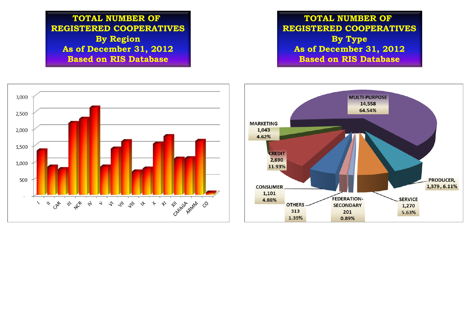**TOTAL NUMBER OF REGISTERED COOPERATIVES By Region As of December 31, 2012 Based on RIS Database**

**TOTAL NUMBER OF REGISTERED COOPERATIVES By Type As of December 31, 2012 Based on RIS Database**

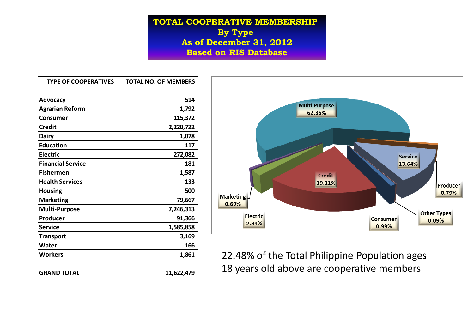**TOTAL COOPERATIVE MEMBERSHIP By Type As of December 31, 2012 Based on RIS Database**

| <b>TYPE OF COOPERATIVES</b> | <b>TOTAL NO. OF MEMBERS</b> |
|-----------------------------|-----------------------------|
|                             |                             |
| <b>Advocacy</b>             | 514                         |
| <b>Agrarian Reform</b>      | 1,792                       |
| Consumer                    | 115,372                     |
| <b>Credit</b>               | 2,220,722                   |
| <b>Dairy</b>                | 1,078                       |
| <b>Education</b>            | 117                         |
| <b>Electric</b>             | 272,082                     |
| <b>Financial Service</b>    | 181                         |
| <b>Fishermen</b>            | 1,587                       |
| <b>Health Services</b>      | 133                         |
| <b>Housing</b>              | 500                         |
| <b>Marketing</b>            | 79,667                      |
| <b>Multi-Purpose</b>        | 7,246,313                   |
| Producer                    | 91,366                      |
| <b>Service</b>              | 1,585,858                   |
| <b>Transport</b>            | 3,169                       |
| Water                       | 166                         |
| Workers                     | 1,861                       |
|                             |                             |
| <b>GRAND TOTAL</b>          | 11,622,479                  |



22.48% of the Total Philippine Population ages 18 years old above are cooperative members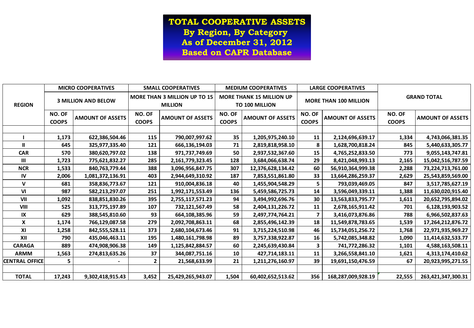**TOTAL COOPERATIVE ASSETS By Region, By Category As of December 31, 2012 Based on CAPR Database**

|                       |                        | <b>MICRO COOPERATIVES</b>  |                        | <b>SMALL COOPERATIVES</b>                      |                        | <b>MEDIUM COOPERATIVES</b>                               |                               | <b>LARGE COOPERATIVES</b>    | <b>GRAND TOTAL</b>     |                         |  |
|-----------------------|------------------------|----------------------------|------------------------|------------------------------------------------|------------------------|----------------------------------------------------------|-------------------------------|------------------------------|------------------------|-------------------------|--|
| <b>REGION</b>         |                        | <b>3 MILLION AND BELOW</b> |                        | MORE THAN 3 MILLION UP TO 15<br><b>MILLION</b> |                        | <b>MORE THANK 15 MILLION UP</b><br><b>TO 100 MILLION</b> |                               | <b>MORE THAN 100 MILLION</b> |                        |                         |  |
|                       | NO. OF<br><b>COOPS</b> | <b>AMOUNT OF ASSETS</b>    | NO. OF<br><b>COOPS</b> | <b>AMOUNT OF ASSETS</b>                        | NO. OF<br><b>COOPS</b> | <b>AMOUNT OF ASSETS</b>                                  | <b>NO. OF</b><br><b>COOPS</b> | <b>AMOUNT OF ASSETS</b>      | NO. OF<br><b>COOPS</b> | <b>AMOUNT OF ASSETS</b> |  |
|                       |                        |                            |                        |                                                |                        |                                                          |                               |                              |                        |                         |  |
|                       | 1,173                  | 622,386,504.46             | 115                    | 790,007,997.62                                 | 35                     | 1,205,975,240.10                                         | 11                            | 2,124,696,639.17             | 1,334                  | 4,743,066,381.35        |  |
| $\mathbf{I}$          | 645                    | 325,977,335.40             | 121                    | 666,136,194.03                                 | 71                     | 2,819,818,958.10                                         | 8                             | 1,628,700,818.24             | 845                    | 5,440,633,305.77        |  |
| <b>CAR</b>            | 570                    | 380,620,797.02             | 138                    | 971,737,749.69                                 | 50                     | 2,937,532,367.60                                         | 15                            | 4,765,252,833.50             | 773                    | 9,055,143,747.81        |  |
| Ш                     | 1,723                  | 775,621,832.27             | 285                    | 2,161,779,323.45                               | 128                    | 3,684,066,638.74                                         | 29                            | 8,421,048,993.13             | 2,165                  | 15,042,516,787.59       |  |
| <b>NCR</b>            | 1,533                  | 840,763,779.44             | 388                    | 3,096,956,847.75                               | 307                    | 12,376,628,134.42                                        | 60                            | 56,910,364,999.38            | 2,288                  | 73,224,713,761.00       |  |
| IV                    | 2,006                  | 1,081,372,136.91           | 403                    | 2,944,649,310.92                               | 187                    | 7,853,551,861.80                                         | 33                            | 13,664,286,259.37            | 2,629                  | 25,543,859,569.00       |  |
| $\mathsf{V}$          | 681                    | 358,836,773.67             | 121                    | 910,004,836.18                                 | 40                     | 1,455,904,548.29                                         | 5                             | 793,039,469.05               | 847                    | 3,517,785,627.19        |  |
| VI                    | 987                    | 582,213,297.07             | 251                    | 1,992,171,553.49                               | 136                    | 5,459,586,725.73                                         | 14                            | 3,596,049,339.11             | 1,388                  | 11,630,020,915.40       |  |
| VII                   | 1,092                  | 838,851,830.26             | 395                    | 2,755,117,571.23                               | 94                     | 3,494,992,696.76                                         | 30                            | 13,563,833,795.77            | 1,611                  | 20,652,795,894.02       |  |
| VIII                  | 525                    | 313,775,197.89             | 107                    | 732,121,567.49                                 | 58                     | 2,404,131,226.72                                         | 11                            | 2,678,165,911.42             | 701                    | 6,128,193,903.52        |  |
| IX                    | 629                    | 388,545,810.60             | 93                     | 664,108,385.96                                 | 59                     | 2,497,774,764.21                                         | $\overline{\mathbf{z}}$       | 3,416,073,876.86             | 788                    | 6,966,502,837.63        |  |
| X                     | 1,174                  | 766,129,087.58             | 279                    | 2,092,708,863.11                               | 68                     | 2,855,496,142.39                                         | 18                            | 11,549,878,783.65            | 1,539                  | 17,264,212,876.72       |  |
| XI                    | 1,258                  | 842,555,528.11             | 373                    | 2,680,104,673.46                               | 91                     | 3,715,224,510.98                                         | 46                            | 15,734,051,256.72            | 1,768                  | 22,971,935,969.27       |  |
| XII                   | 790                    | 435,046,463.11             | 195                    | 1,480,161,798.98                               | 89                     | 3,757,338,922.87                                         | 16                            | 5,742,085,348.82             | 1,090                  | 11,414,632,533.77       |  |
| <b>CARAGA</b>         | 889                    | 474,908,906.38             | 149                    | 1,125,842,884.57                               | 60                     | 2,245,639,430.84                                         | 3                             | 741,772,286.32               | 1,101                  | 4,588,163,508.11        |  |
| <b>ARMM</b>           | 1,563                  | 274,813,635.26             | 37                     | 344,087,751.16                                 | 10                     | 427,714,183.11                                           | 11                            | 3,266,558,841.10             | 1,621                  | 4,313,174,410.62        |  |
| <b>CENTRAL OFFICE</b> | 5                      |                            | $\mathbf{2}$           | 21,568,633.99                                  | 21                     | 1,211,276,160.97                                         | 39                            | 19,691,150,476.59            | 67                     | 20,923,995,271.55       |  |
|                       |                        |                            |                        |                                                |                        |                                                          |                               |                              |                        |                         |  |
| <b>TOTAL</b>          | 17,243                 | 9,302,418,915.43           | 3,452                  | 25,429,265,943.07                              | 1,504                  | 60,402,652,513.62                                        | 356                           | 168,287,009,928.19           | 22,555                 | 263,421,347,300.31      |  |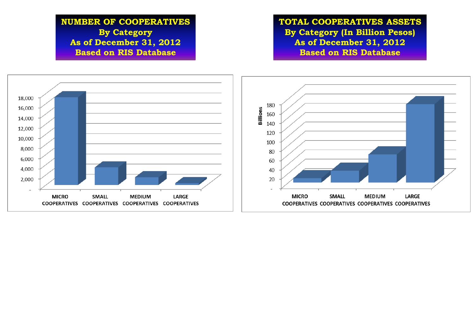# **NUMBER OF COOPERATIVES By Category As of December 31, 2012 Based on RIS Database**

**TOTAL COOPERATIVES ASSETS By Category (In Billion Pesos) As of December 31, 2012 Based on RIS Database**